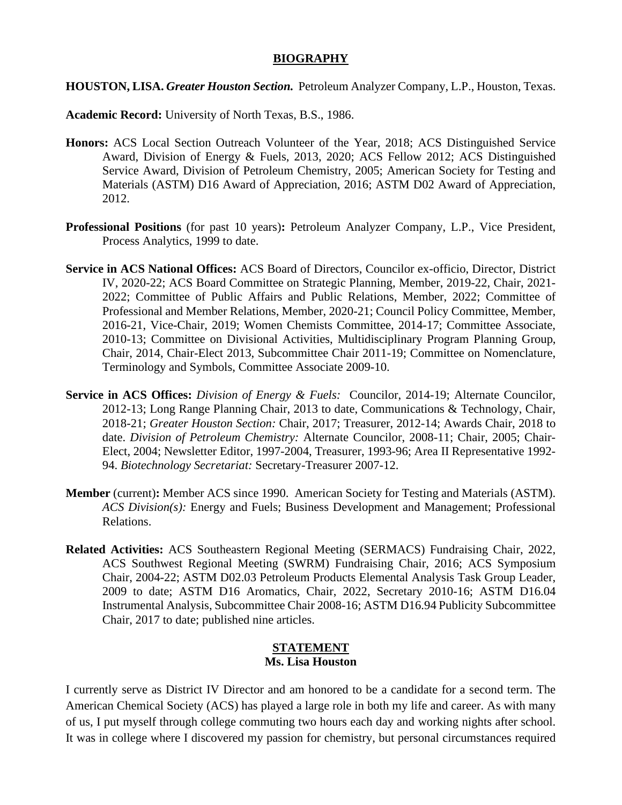## **BIOGRAPHY**

**HOUSTON, LISA.** *Greater Houston Section.* Petroleum Analyzer Company, L.P., Houston, Texas.

**Academic Record:** University of North Texas, B.S., 1986.

- **Honors:** ACS Local Section Outreach Volunteer of the Year, 2018; ACS Distinguished Service Award, Division of Energy & Fuels, 2013, 2020; ACS Fellow 2012; ACS Distinguished Service Award, Division of Petroleum Chemistry, 2005; American Society for Testing and Materials (ASTM) D16 Award of Appreciation, 2016; ASTM D02 Award of Appreciation, 2012.
- **Professional Positions** (for past 10 years)**:** Petroleum Analyzer Company, L.P., Vice President, Process Analytics, 1999 to date.
- **Service in ACS National Offices:** ACS Board of Directors, Councilor ex-officio, Director, District IV, 2020-22; ACS Board Committee on Strategic Planning, Member, 2019-22, Chair, 2021- 2022; Committee of Public Affairs and Public Relations, Member, 2022; Committee of Professional and Member Relations, Member, 2020-21; Council Policy Committee, Member, 2016-21, Vice-Chair, 2019; Women Chemists Committee, 2014-17; Committee Associate, 2010-13; Committee on Divisional Activities, Multidisciplinary Program Planning Group, Chair, 2014, Chair-Elect 2013, Subcommittee Chair 2011-19; Committee on Nomenclature, Terminology and Symbols, Committee Associate 2009-10.
- **Service in ACS Offices:** *Division of Energy & Fuels:* Councilor, 2014-19; Alternate Councilor, 2012-13; Long Range Planning Chair, 2013 to date, Communications & Technology, Chair, 2018-21; *Greater Houston Section:* Chair, 2017; Treasurer, 2012-14; Awards Chair, 2018 to date. *Division of Petroleum Chemistry:* Alternate Councilor, 2008-11; Chair, 2005; Chair-Elect, 2004; Newsletter Editor, 1997-2004, Treasurer, 1993-96; Area II Representative 1992- 94. *Biotechnology Secretariat:* Secretary-Treasurer 2007-12.
- **Member** (current)**:** Member ACS since 1990. American Society for Testing and Materials (ASTM). *ACS Division(s):* Energy and Fuels; Business Development and Management; Professional Relations.
- **Related Activities:** ACS Southeastern Regional Meeting (SERMACS) Fundraising Chair, 2022, ACS Southwest Regional Meeting (SWRM) Fundraising Chair, 2016; ACS Symposium Chair, 2004-22; ASTM D02.03 Petroleum Products Elemental Analysis Task Group Leader, 2009 to date; ASTM D16 Aromatics, Chair, 2022, Secretary 2010-16; ASTM D16.04 Instrumental Analysis, Subcommittee Chair 2008-16; ASTM D16.94 Publicity Subcommittee Chair, 2017 to date; published nine articles.

## **STATEMENT Ms. Lisa Houston**

I currently serve as District IV Director and am honored to be a candidate for a second term. The American Chemical Society (ACS) has played a large role in both my life and career. As with many of us, I put myself through college commuting two hours each day and working nights after school. It was in college where I discovered my passion for chemistry, but personal circumstances required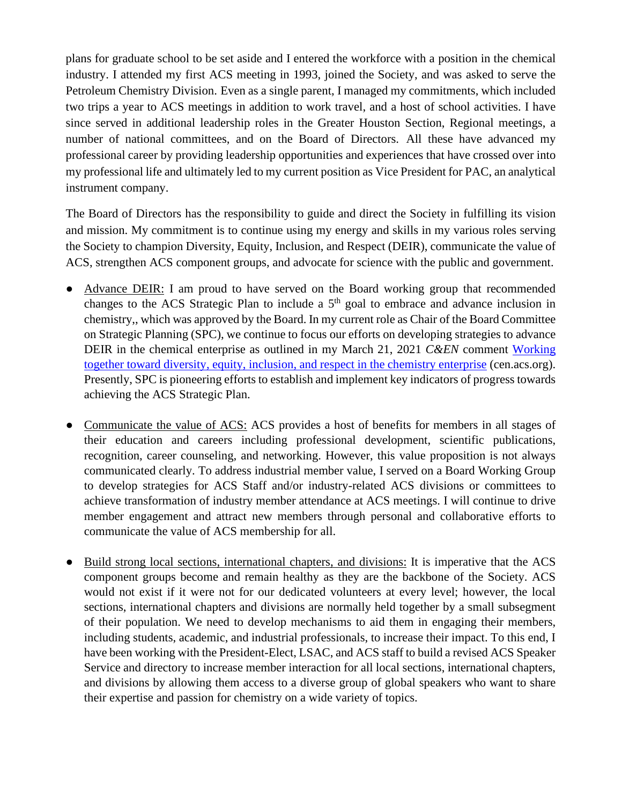plans for graduate school to be set aside and I entered the workforce with a position in the chemical industry. I attended my first ACS meeting in 1993, joined the Society, and was asked to serve the Petroleum Chemistry Division. Even as a single parent, I managed my commitments, which included two trips a year to ACS meetings in addition to work travel, and a host of school activities. I have since served in additional leadership roles in the Greater Houston Section, Regional meetings, a number of national committees, and on the Board of Directors. All these have advanced my professional career by providing leadership opportunities and experiences that have crossed over into my professional life and ultimately led to my current position as Vice President for PAC, an analytical instrument company.

The Board of Directors has the responsibility to guide and direct the Society in fulfilling its vision and mission. My commitment is to continue using my energy and skills in my various roles serving the Society to champion Diversity, Equity, Inclusion, and Respect (DEIR), communicate the value of ACS, strengthen ACS component groups, and advocate for science with the public and government.

- Advance DEIR: I am proud to have served on the Board working group that recommended changes to the ACS Strategic Plan to include a  $5<sup>th</sup>$  goal to embrace and advance inclusion in chemistry,, which was approved by the Board. In my current role as Chair of the Board Committee on Strategic Planning (SPC), we continue to focus our efforts on developing strategies to advance DEIR in the chemical enterprise as outlined in my March 21, 2021 *C&EN* comment [Working](https://cen.acs.org/acs-news/comment/Working-together-toward-diversity-equity/99/i11)  [together toward diversity, equity, inclusion, and respect in the chemistry enterprise](https://cen.acs.org/acs-news/comment/Working-together-toward-diversity-equity/99/i11) (cen.acs.org). Presently, SPC is pioneering efforts to establish and implement key indicators of progress towards achieving the ACS Strategic Plan.
- Communicate the value of ACS: ACS provides a host of benefits for members in all stages of their education and careers including professional development, scientific publications, recognition, career counseling, and networking. However, this value proposition is not always communicated clearly. To address industrial member value, I served on a Board Working Group to develop strategies for ACS Staff and/or industry-related ACS divisions or committees to achieve transformation of industry member attendance at ACS meetings. I will continue to drive member engagement and attract new members through personal and collaborative efforts to communicate the value of ACS membership for all.
- Build strong local sections, international chapters, and divisions: It is imperative that the ACS component groups become and remain healthy as they are the backbone of the Society. ACS would not exist if it were not for our dedicated volunteers at every level; however, the local sections, international chapters and divisions are normally held together by a small subsegment of their population. We need to develop mechanisms to aid them in engaging their members, including students, academic, and industrial professionals, to increase their impact. To this end, I have been working with the President-Elect, LSAC, and ACS staff to build a revised ACS Speaker Service and directory to increase member interaction for all local sections, international chapters, and divisions by allowing them access to a diverse group of global speakers who want to share their expertise and passion for chemistry on a wide variety of topics.